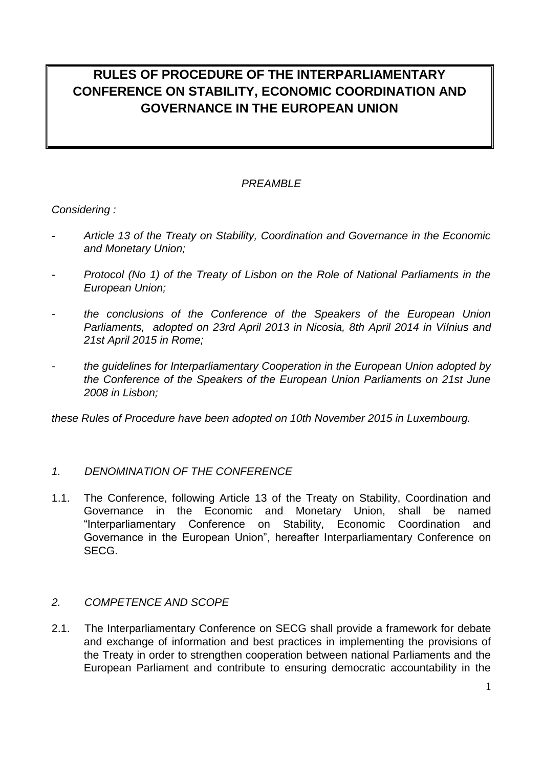# **RULES OF PROCEDURE OF THE INTERPARLIAMENTARY CONFERENCE ON STABILITY, ECONOMIC COORDINATION AND GOVERNANCE IN THE EUROPEAN UNION**

## *PREAMBLE*

*Considering :*

- *- Article 13 of the Treaty on Stability, Coordination and Governance in the Economic and Monetary Union;*
- *- Protocol (No 1) of the Treaty of Lisbon on the Role of National Parliaments in the European Union;*
- *- the conclusions of the Conference of the Speakers of the European Union Parliaments, adopted on 23rd April 2013 in Nicosia, 8th April 2014 in Vilnius and 21st April 2015 in Rome;*
- *- the guidelines for Interparliamentary Cooperation in the European Union adopted by the Conference of the Speakers of the European Union Parliaments on 21st June 2008 in Lisbon;*

*these Rules of Procedure have been adopted on 10th November 2015 in Luxembourg.*

## *1. DENOMINATION OF THE CONFERENCE*

1.1. The Conference, following Article 13 of the Treaty on Stability, Coordination and Governance in the Economic and Monetary Union, shall be named "Interparliamentary Conference on Stability, Economic Coordination and Governance in the European Union", hereafter Interparliamentary Conference on SECG.

## *2. COMPETENCE AND SCOPE*

2.1. The Interparliamentary Conference on SECG shall provide a framework for debate and exchange of information and best practices in implementing the provisions of the Treaty in order to strengthen cooperation between national Parliaments and the European Parliament and contribute to ensuring democratic accountability in the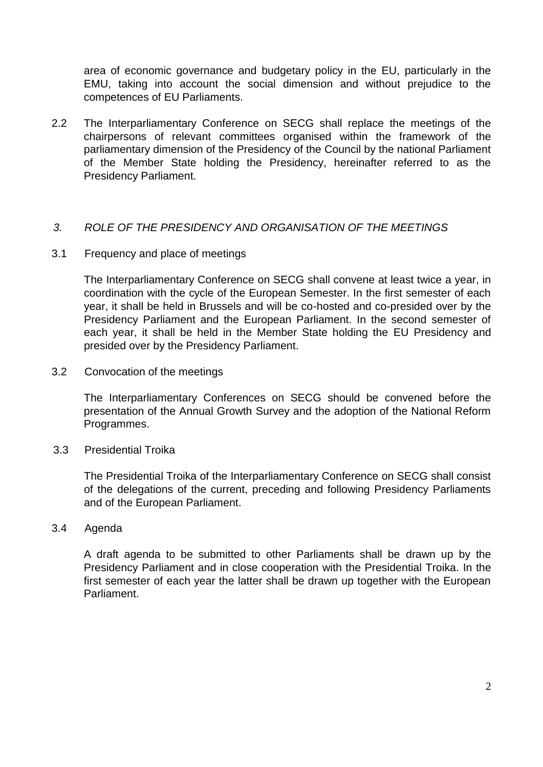area of economic governance and budgetary policy in the EU, particularly in the EMU, taking into account the social dimension and without prejudice to the competences of EU Parliaments.

2.2 The Interparliamentary Conference on SECG shall replace the meetings of the chairpersons of relevant committees organised within the framework of the parliamentary dimension of the Presidency of the Council by the national Parliament of the Member State holding the Presidency, hereinafter referred to as the Presidency Parliament.

## *3. ROLE OF THE PRESIDENCY AND ORGANISATION OF THE MEETINGS*

3.1 Frequency and place of meetings

The Interparliamentary Conference on SECG shall convene at least twice a year, in coordination with the cycle of the European Semester. In the first semester of each year, it shall be held in Brussels and will be co-hosted and co-presided over by the Presidency Parliament and the European Parliament. In the second semester of each year, it shall be held in the Member State holding the EU Presidency and presided over by the Presidency Parliament.

3.2 Convocation of the meetings

The Interparliamentary Conferences on SECG should be convened before the presentation of the Annual Growth Survey and the adoption of the National Reform Programmes.

3.3Presidential Troika

The Presidential Troika of the Interparliamentary Conference on SECG shall consist of the delegations of the current, preceding and following Presidency Parliaments and of the European Parliament.

3.4 Agenda

A draft agenda to be submitted to other Parliaments shall be drawn up by the Presidency Parliament and in close cooperation with the Presidential Troika. In the first semester of each year the latter shall be drawn up together with the European Parliament.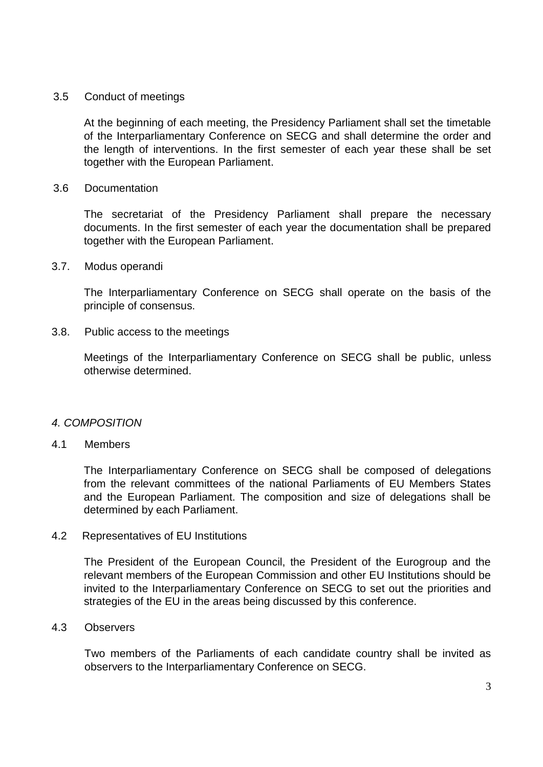#### 3.5 Conduct of meetings

At the beginning of each meeting, the Presidency Parliament shall set the timetable of the Interparliamentary Conference on SECG and shall determine the order and the length of interventions. In the first semester of each year these shall be set together with the European Parliament.

#### 3.6 Documentation

The secretariat of the Presidency Parliament shall prepare the necessary documents. In the first semester of each year the documentation shall be prepared together with the European Parliament.

3.7. Modus operandi

The Interparliamentary Conference on SECG shall operate on the basis of the principle of consensus.

3.8. Public access to the meetings

Meetings of the Interparliamentary Conference on SECG shall be public, unless otherwise determined.

#### *4. COMPOSITION*

## 4.1 Members

The Interparliamentary Conference on SECG shall be composed of delegations from the relevant committees of the national Parliaments of EU Members States and the European Parliament. The composition and size of delegations shall be determined by each Parliament.

#### 4.2 Representatives of EU Institutions

The President of the European Council, the President of the Eurogroup and the relevant members of the European Commission and other EU Institutions should be invited to the Interparliamentary Conference on SECG to set out the priorities and strategies of the EU in the areas being discussed by this conference.

#### 4.3 Observers

Two members of the Parliaments of each candidate country shall be invited as observers to the Interparliamentary Conference on SECG.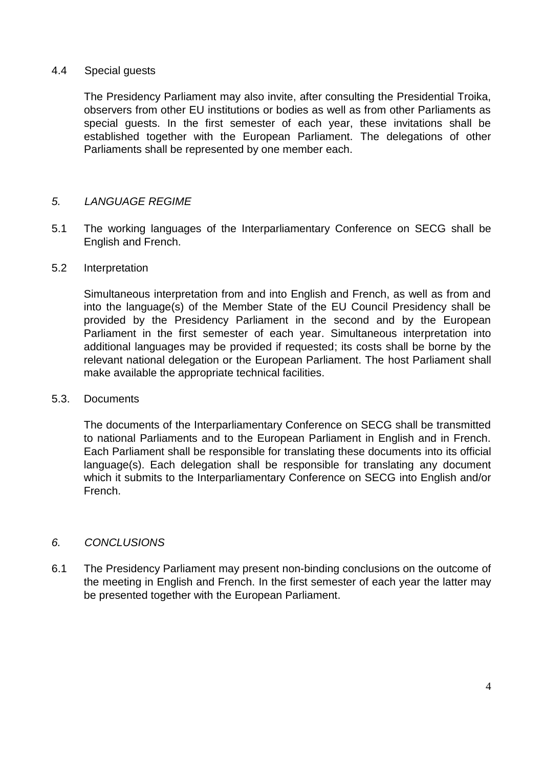## 4.4 Special guests

The Presidency Parliament may also invite, after consulting the Presidential Troika, observers from other EU institutions or bodies as well as from other Parliaments as special guests. In the first semester of each year, these invitations shall be established together with the European Parliament. The delegations of other Parliaments shall be represented by one member each.

## *5. LANGUAGE REGIME*

5.1 The working languages of the Interparliamentary Conference on SECG shall be English and French.

#### 5.2 Interpretation

Simultaneous interpretation from and into English and French, as well as from and into the language(s) of the Member State of the EU Council Presidency shall be provided by the Presidency Parliament in the second and by the European Parliament in the first semester of each year. Simultaneous interpretation into additional languages may be provided if requested; its costs shall be borne by the relevant national delegation or the European Parliament. The host Parliament shall make available the appropriate technical facilities.

#### 5.3. Documents

The documents of the Interparliamentary Conference on SECG shall be transmitted to national Parliaments and to the European Parliament in English and in French. Each Parliament shall be responsible for translating these documents into its official language(s). Each delegation shall be responsible for translating any document which it submits to the Interparliamentary Conference on SECG into English and/or French.

#### *6. CONCLUSIONS*

6.1 The Presidency Parliament may present non-binding conclusions on the outcome of the meeting in English and French. In the first semester of each year the latter may be presented together with the European Parliament.